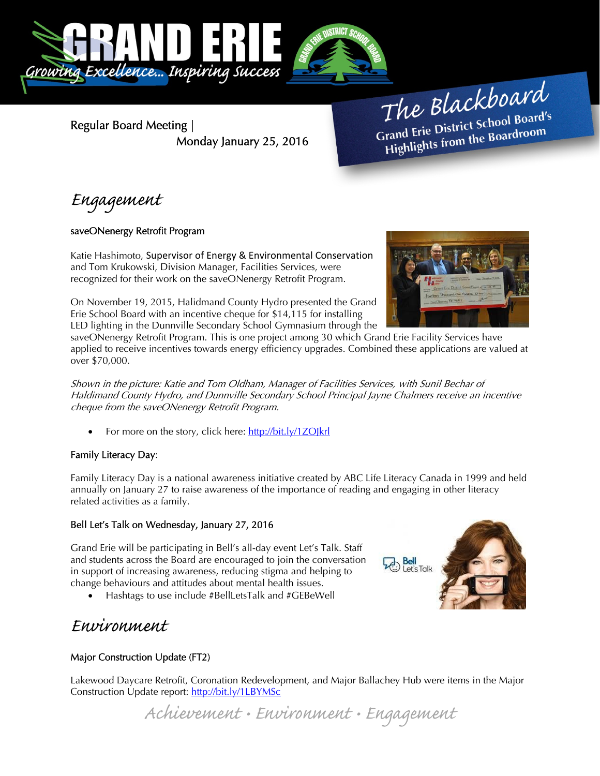

Regular Board Meeting | Monday January 25, 2016

The Blackboard The Burnor<br>Grand Erie District School Board's<br>Little from the Boardroom rand Erie District School Board<br>Highlights from the Boardroom

Engagement

## saveONenergy Retrofit Program

Katie Hashimoto, Supervisor of Energy & Environmental Conservation and Tom Krukowski, Division Manager, Facilities Services, were recognized for their work on the saveONenergy Retrofit Program.

On November 19, 2015, Halidmand County Hydro presented the Grand Erie School Board with an incentive cheque for \$14,115 for installing LED lighting in the Dunnville Secondary School Gymnasium through the



saveONenergy Retrofit Program. This is one project among 30 which Grand Erie Facility Services have applied to receive incentives towards energy efficiency upgrades. Combined these applications are valued at over \$70,000.

Shown in the picture: Katie and Tom Oldham, Manager of Facilities Services, with Sunil Bechar of Haldimand County Hydro, and Dunnville Secondary School Principal Jayne Chalmers receive an incentive cheque from the saveONenergy Retrofit Program.

For more on the story, click here: http://bit.ly/1ZOJkrl

## Family Literacy Day:

Family Literacy Day is a national awareness initiative created by ABC Life Literacy Canada in 1999 and held annually on January 27 to raise awareness of the importance of reading and engaging in other literacy related activities as a family.

## Bell Let's Talk on Wednesday, January 27, 2016

Grand Erie will be participating in Bell's all-day event Let's Talk. Staff and students across the Board are encouraged to join the conversation in support of increasing awareness, reducing stigma and helping to change behaviours and attitudes about mental health issues.

Hashtags to use include #BellLetsTalk and #GEBeWell

# Environment

# Major Construction Update (FT2)

Lakewood Daycare Retrofit, Coronation Redevelopment, and Major Ballachey Hub were items in the Major Construction Update report: http://bit.ly/1LBYMSc

Achievement • Environment • Engagement